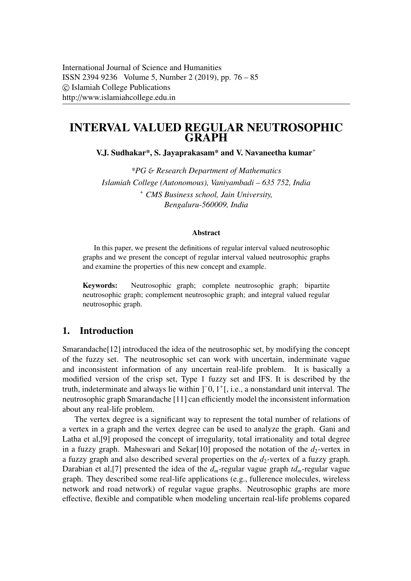# INTERVAL VALUED REGULAR NEUTROSOPHIC **GRAPH**

V.J. Sudhakar\*, S. Jayaprakasam\* and V. Navaneetha kumar<sup>+</sup>

*\*PG* & *Research Department of Mathematics Islamiah College (Autonomous), Vaniyambadi – 635 752, India* <sup>+</sup> *CMS Business school, Jain University, Bengaluru-560009, India*

#### Abstract

In this paper, we present the definitions of regular interval valued neutrosophic graphs and we present the concept of regular interval valued neutrosophic graphs and examine the properties of this new concept and example.

Keywords: Neutrosophic graph; complete neutrosophic graph; bipartite neutrosophic graph; complement neutrosophic graph; and integral valued regular neutrosophic graph.

## 1. Introduction

Smarandache[12] introduced the idea of the neutrosophic set, by modifying the concept of the fuzzy set. The neutrosophic set can work with uncertain, inderminate vague and inconsistent information of any uncertain real-life problem. It is basically a modified version of the crisp set, Type 1 fuzzy set and IFS. It is described by the truth, indeterminate and always lie within ]<sup>-</sup>0, 1<sup>+</sup>[, i.e., a nonstandard unit interval. The neutrosophic graph Smarandache [11] can efficiently model the inconsistent information neutrosophic graph Smarandache [11] can efficiently model the inconsistent information about any real-life problem.

The vertex degree is a significant way to represent the total number of relations of a vertex in a graph and the vertex degree can be used to analyze the graph. Gani and Latha et al,[9] proposed the concept of irregularity, total irrationality and total degree in a fuzzy graph. Maheswari and Sekar $[10]$  proposed the notation of the  $d_2$ -vertex in a fuzzy graph and also described several properties on the  $d_2$ -vertex of a fuzzy graph. Darabian et al,[7] presented the idea of the *dm*-regular vague graph *tdm*-regular vague graph. They described some real-life applications (e.g., fullerence molecules, wireless network and road network) of regular vague graphs. Neutrosophic graphs are more effective, flexible and compatible when modeling uncertain real-life problems copared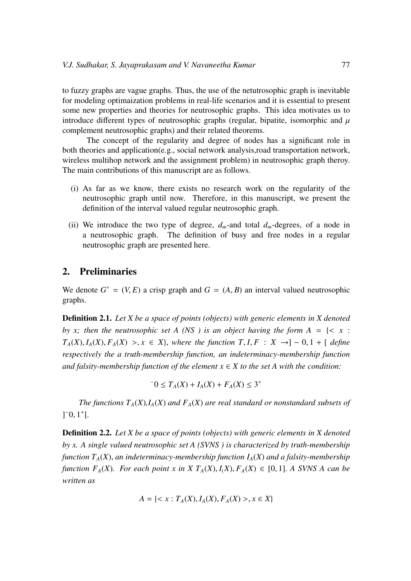to fuzzy graphs are vague graphs. Thus, the use of the netutrosophic graph is inevitable for modeling optimaization problems in real-life scenarios and it is essential to present some new properties and theories for neutrosophic graphs. This idea motivates us to introduce different types of neutrosophic graphs (regular, bipatite, isomorphic and  $\mu$ ) complement neutrosophic graphs) and their related theorems.

The concept of the regularity and degree of nodes has a significant role in both theories and application(e.g., social network analysis,road transportation network, wireless multihop network and the assignment problem) in neutrosophic graph theroy. The main contributions of this manuscript are as follows.

- (i) As far as we know, there exists no research work on the regularity of the neutrosophic graph until now. Therefore, in this manuscript, we present the definition of the interval valued regular neutrosophic graph.
- (ii) We introduce the two type of degree,  $d_m$ -and total  $d_m$ -degrees, of a node in a neutrosophic graph. The definition of busy and free nodes in a regular neutrosophic graph are presented here.

# 2. Preliminaries

We denote  $G^* = (V, E)$  a crisp graph and  $G = (A, B)$  an interval valued neutrosophic graphs graphs.

Definition 2.1. *Let X be a space of points (objects) with generic elements in X denoted by x; then the neutrosophic set A (NS) is an object having the form*  $A = \{ \langle x : A \rangle : A \neq A \}$  $T_A(X), I_A(X), F_A(X) > x \in X$ , *where the function*  $T, I, F: X \rightarrow ]-0, 1 + [define]$ *respectively the a truth-membership function, an indeterminacy-membership function and falsity-membership function of the element*  $x \in X$  *to the set A with the condition:* 

$$
-0 \le T_A(X) + I_A(X) + F_A(X) \le 3^+
$$

*The functions*  $T_A(X)$ *,*  $I_A(X)$  *and*  $F_A(X)$  *are real standard or nonstandard subsets of*  $]$ <sup>-</sup>0,  $1$ <sup>+</sup>[.

Definition 2.2. *Let X be a space of points (objects) with generic elements in X denoted by x. A single valued neutrosophic set A (SVNS ) is characterized by truth-membership function TA*(*X*), *an indeterminacy-membership function IA*(*X*) *and a falsity-membership function F<sub>A</sub>*(*X*)*. For each point x in X T<sub>A</sub>*(*X*),  $I<sub>A</sub>(X)$ ,  $F<sub>A</sub>(X) \in [0, 1]$ . *A SVNS A can be written as*

$$
A = \{ < x : T_A(X), I_A(X), F_A(X) > , x \in X \}
$$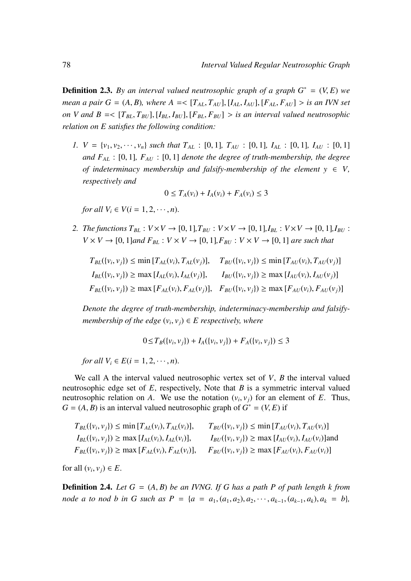**Definition 2.3.** By an interval valued neutrosophic graph of a graph  $G^* = (V, E)$  we *mean a pair G* = (*A, B*)*, where A* =  $[T_{AL}, T_{AU}]$ ,  $[I_{AL}, I_{AU}]$ ,  $[F_{AL}, F_{AU}] >$  *is an IVN set on V and B* =<  $[T_{BL}, T_{BU}]$ ,  $[I_{BL}, I_{BU}]$ ,  $[F_{BL}, F_{BU}]$  > *is an interval valued neutrosophic relation on E satisfies the following condition:*

*1.*  $V = \{v_1, v_2, \dots, v_n\}$  *such that*  $T_{AL}$  : [0, 1]*,*  $T_{AU}$  : [0, 1]*,*  $I_{AL}$  : [0, 1]*,*  $I_{AU}$  : [0, 1] *and FAL* : [0, 1]*, FAU* : [0, 1] *denote the degree of truth-membership, the degree of indeterminacy membership and falsify-membership of the element*  $y \in V$ *, respectively and*

$$
0 \leq T_A(v_i) + I_A(v_i) + F_A(v_i) \leq 3
$$

*for all*  $V_i \in V(i = 1, 2, \dots, n)$ .

*2. The functions*  $T_{BL}$  :  $V \times V \rightarrow [0, 1]$ ,  $T_{BU}$  :  $V \times V \rightarrow [0, 1]$ ,  $I_{BL}$  :  $V \times V \rightarrow [0, 1]$ ,  $I_{BU}$  :  $V \times V \rightarrow [0, 1]$  *and*  $F_{BL} : V \times V \rightarrow [0, 1]$ ,  $F_{BU} : V \times V \rightarrow [0, 1]$  *are such that* 

$$
T_{BL}(\{v_i, v_j\}) \le \min [T_{AL}(v_i), T_{AL}(v_j)], \quad T_{BU}(\{v_i, v_j\}) \le \min [T_{AU}(v_i), T_{AU}(v_j)]
$$
  
\n
$$
I_{BL}(\{v_i, v_j\}) \ge \max [I_{AL}(v_i), I_{AL}(v_j)], \quad I_{BU}(\{v_i, v_j\}) \ge \max [I_{AU}(v_i), I_{AU}(v_j)]
$$
  
\n
$$
F_{BL}(\{v_i, v_j\}) \ge \max [F_{AL}(v_i), F_{AL}(v_j)], \quad F_{BU}(\{v_i, v_j\}) \ge \max [F_{AU}(v_i), F_{AU}(v_j)]
$$

*Denote the degree of truth-membership, indeterminacy-membership and falsifymembership of the edge*  $(v_i, v_j) \in E$  *respectively, where* 

$$
0 \le T_B(\{v_i, v_j\}) + I_A(\{v_i, v_j\}) + F_A(\{v_i, v_j\}) \le 3
$$

*for all*  $V_i \in E(i = 1, 2, \dots, n)$ .

We call A the interval valued neutrosophic vertex set of *V*, *B* the interval valued neutrosophic edge set of *E*, respectively, Note that *B* is a symmetric interval valued neutrosophic relation on *A*. We use the notation  $(v_i, v_j)$  for an element of *E*. Thus,<br> $G - (A \cap R)$  is an interval valued neutrosophic graph of  $G^* - (V \cap R)$  if  $G = (A, B)$  is an interval valued neutrosophic graph of  $G^* = (V, E)$  if

| $T_{BL}(\{v_i, v_j\}) \le \min [T_{AL}(v_i), T_{AL}(v_i)],$  | $T_{BU}(\{v_i, v_j\}) \le \min [T_{AU}(v_i), T_{AU}(v_i)]$      |
|--------------------------------------------------------------|-----------------------------------------------------------------|
| $I_{BL}(\{v_i, v_j\}) \geq \max [I_{AL}(v_i), I_{AL}(v_i)],$ | $I_{BU}(\{v_i, v_j\}) \geq \max [I_{AU}(v_i), I_{AU}(v_i)]$ and |
| $F_{BL}(\{v_i, v_j\}) \ge \max [F_{AL}(v_i), F_{AL}(v_i)],$  | $F_{BU}(\{v_i, v_j\}) \ge \max [F_{AU}(v_i), F_{AU}(v_i)]$      |
|                                                              |                                                                 |

for all  $(v_i, v_j) \in E$ .

Definition 2.4. *Let G* <sup>=</sup> (*A*, *<sup>B</sup>*) *be an IVNG. If G has a path P of path length k from node a to nod b in G such as*  $P = \{a = a_1, (a_1, a_2), a_2, \dots, a_{k-1}, (a_{k-1}, a_k), a_k = b\}$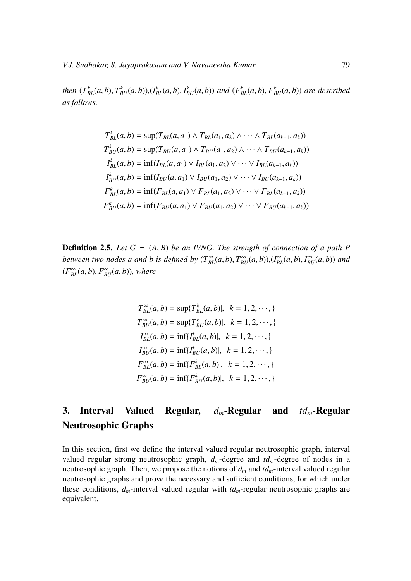then  $(T_{BL}^k(a, b), T_{BU}^k(a, b)), (I_{BL}^k(a, b), I_{BU}^k(a, b))$  and  $(F_{BL}^k(a, b), F_{BU}^k(a, b))$  are described *as follows.*

$$
T_{BL}^{k}(a,b) = \sup(T_{BL}(a,a_1) \wedge T_{BL}(a_1,a_2) \wedge \cdots \wedge T_{BL}(a_{k-1},a_k))
$$
  
\n
$$
T_{BU}^{k}(a,b) = \sup(T_{BU}(a,a_1) \wedge T_{BU}(a_1,a_2) \wedge \cdots \wedge T_{BU}(a_{k-1},a_k))
$$
  
\n
$$
I_{BL}^{k}(a,b) = \inf(I_{BL}(a,a_1) \vee I_{BL}(a_1,a_2) \vee \cdots \vee I_{BL}(a_{k-1},a_k))
$$
  
\n
$$
I_{BU}^{k}(a,b) = \inf(I_{BU}(a,a_1) \vee I_{BU}(a_1,a_2) \vee \cdots \vee I_{BU}(a_{k-1},a_k))
$$
  
\n
$$
F_{BL}^{k}(a,b) = \inf(F_{BL}(a,a_1) \vee F_{BL}(a_1,a_2) \vee \cdots \vee F_{BL}(a_{k-1},a_k))
$$
  
\n
$$
F_{BU}^{k}(a,b) = \inf(F_{BU}(a,a_1) \vee F_{BU}(a_1,a_2) \vee \cdots \vee F_{BU}(a_{k-1},a_k))
$$

Definition 2.5. *Let G* <sup>=</sup> (*A*, *<sup>B</sup>*) *be an IVNG. The strength of connection of a path P* between two nodes a and b is defined by  $(T_{BL}^{\infty}(a, b), T_{BU}^{\infty}(a, b)), (I_{BL}^{\infty}(a, b), I_{BU}^{\infty}(a, b))$  and  $(F_{BL}^{\infty}(a, b), F_{BU}^{\infty}(a, b))$ , where

$$
T_{BL}^{\infty}(a, b) = \sup\{T_{BL}^{k}(a, b)|, k = 1, 2, \cdots, \}
$$
  
\n
$$
T_{BU}^{\infty}(a, b) = \sup\{T_{BU}^{k}(a, b)|, k = 1, 2, \cdots, \}
$$
  
\n
$$
I_{BL}^{\infty}(a, b) = \inf\{I_{BL}^{k}(a, b)|, k = 1, 2, \cdots, \}
$$
  
\n
$$
I_{BU}^{\infty}(a, b) = \inf\{I_{BU}^{k}(a, b)|, k = 1, 2, \cdots, \}
$$
  
\n
$$
F_{BL}^{\infty}(a, b) = \inf\{F_{BL}^{k}(a, b)|, k = 1, 2, \cdots, \}
$$
  
\n
$$
F_{BU}^{\infty}(a, b) = \inf\{F_{BU}^{k}(a, b)|, k = 1, 2, \cdots, \}
$$

# 3. Interval Valued Regular, *dm*-Regular and *tdm*-Regular Neutrosophic Graphs

In this section, first we define the interval valued regular neutrosophic graph, interval valued regular strong neutrosophic graph,  $d_m$ -degree and  $td_m$ -degree of nodes in a neutrosophic graph. Then, we propose the notions of  $d_m$  and  $td_m$ -interval valued regular neutrosophic graphs and prove the necessary and sufficient conditions, for which under these conditions,  $d_m$ -interval valued regular with  $td_m$ -regular neutrosophic graphs are equivalent.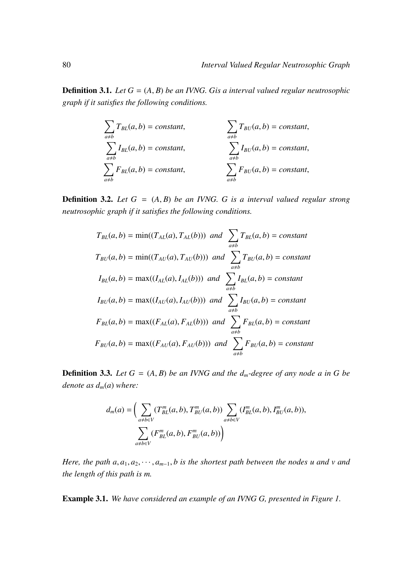Definition 3.1. *Let G* <sup>=</sup> (*A*, *<sup>B</sup>*) *be an IVNG. Gis a interval valued regular neutrosophic graph if it satisfies the following conditions.*

$$
\sum_{a \neq b} T_{BL}(a, b) = constant, \qquad \sum_{a \neq b} T_{BU}(a, b) = constant, \qquad \sum_{a \neq b} I_{BU}(a, b) = constant, \qquad \sum_{a \neq b} I_{BU}(a, b) = constant, \qquad \sum_{a \neq b} F_{BU}(a, b) = constant, \qquad \sum_{a \neq b} F_{BU}(a, b) = constant,
$$

Definition 3.2. *Let G* <sup>=</sup> (*A*, *<sup>B</sup>*) *be an IVNG. G is a interval valued regular strong neutrosophic graph if it satisfies the following conditions.*

$$
T_{BL}(a,b) = \min((T_{AL}(a), T_{AL}(b))) \text{ and } \sum_{a \neq b} T_{BL}(a,b) = \text{constant}
$$
\n
$$
T_{BU}(a,b) = \min((T_{AU}(a), T_{AU}(b))) \text{ and } \sum_{a \neq b} T_{BU}(a,b) = \text{constant}
$$
\n
$$
I_{BL}(a,b) = \max((I_{AL}(a), I_{AL}(b))) \text{ and } \sum_{a \neq b} I_{BL}(a,b) = \text{constant}
$$
\n
$$
I_{BU}(a,b) = \max((I_{AU}(a), I_{AU}(b))) \text{ and } \sum_{a \neq b} I_{BU}(a,b) = \text{constant}
$$
\n
$$
F_{BL}(a,b) = \max((F_{AL}(a), F_{AL}(b))) \text{ and } \sum_{a \neq b} F_{BL}(a,b) = \text{constant}
$$
\n
$$
F_{BU}(a,b) = \max((F_{AU}(a), F_{AU}(b))) \text{ and } \sum_{a \neq b} F_{BU}(a,b) = \text{constant}
$$

**Definition 3.3.** *Let*  $G = (A, B)$  *be an IVNG and the*  $d_m$ *-degree of any node a in G be denote as dm*(*a*) *where:*

$$
d_m(a) = \left(\sum_{a \neq b \in V} (T_{BL}^m(a, b), T_{BU}^m(a, b)) \sum_{a \neq b \in V} (I_{BL}^m(a, b), I_{BU}^m(a, b)),\right. \\ \left. \sum_{a \neq b \in V} (F_{BL}^m(a, b), F_{BU}^m(a, b))\right)
$$

*Here, the path*  $a, a_1, a_2, \dots, a_{m-1}, b$  *is the shortest path between the nodes u and v and the length of this path is m.*

Example 3.1. *We have considered an example of an IVNG G, presented in Figure 1.*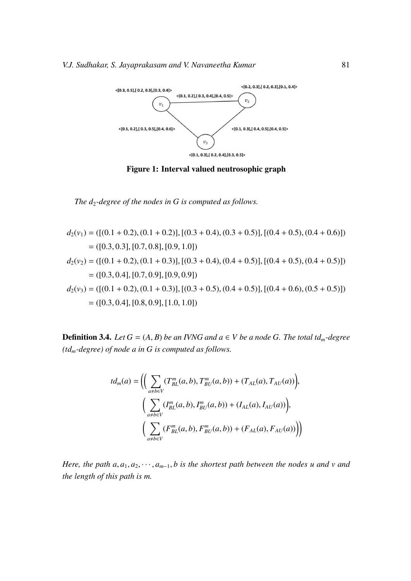

Figure 1: Interval valued neutrosophic graph

*The d*2*-degree of the nodes in G is computed as follows.*

$$
d_2(v_1) = ([(0.1 + 0.2), (0.1 + 0.2)], [(0.3 + 0.4), (0.3 + 0.5)], [(0.4 + 0.5), (0.4 + 0.6)])
$$
  
\n
$$
= ([0.3, 0.3], [0.7, 0.8], [0.9, 1.0])
$$
  
\n
$$
d_2(v_2) = ([(0.1 + 0.2), (0.1 + 0.3)], [(0.3 + 0.4), (0.4 + 0.5)], [(0.4 + 0.5), (0.4 + 0.5)])
$$
  
\n
$$
= ([0.3, 0.4], [0.7, 0.9], [0.9, 0.9])
$$
  
\n
$$
d_2(v_3) = ([(0.1 + 0.2), (0.1 + 0.3)], [(0.3 + 0.5), (0.4 + 0.5)], [(0.4 + 0.6), (0.5 + 0.5)])
$$
  
\n
$$
= ([0.3, 0.4], [0.8, 0.9], [1.0, 1.0])
$$

**Definition 3.4.** *Let*  $G = (A, B)$  *be an IVNG and a*  $\in$  *V be a node G. The total td<sub>m</sub>-degree (tdm-degree) of node a in G is computed as follows.*

$$
td_m(a) = \left( \left( \sum_{a \neq b \in V} (T_{BL}^m(a, b), T_{BU}^m(a, b)) + (T_{AL}(a), T_{AU}(a)) \right), \\ \left( \sum_{a \neq b \in V} (I_{BL}^m(a, b), I_{BU}^m(a, b)) + (I_{AL}(a), I_{AU}(a)) \right), \\ \left( \sum_{a \neq b \in V} (F_{BL}^m(a, b), F_{BU}^m(a, b)) + (F_{AL}(a), F_{AU}(a)) \right) \right)
$$

*Here, the path*  $a, a_1, a_2, \dots, a_{m-1}, b$  *is the shortest path between the nodes u and v and the length of this path is m.*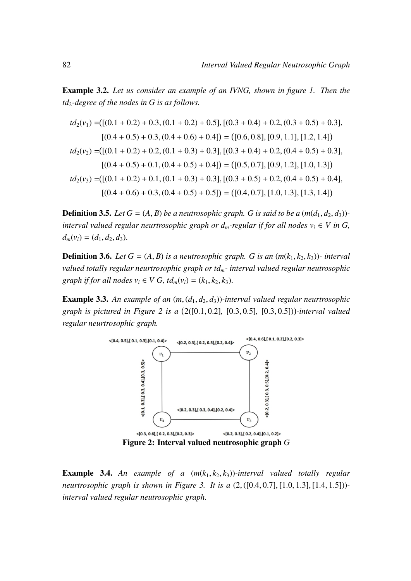Example 3.2. *Let us consider an example of an IVNG, shown in figure 1. Then the td*2*-degree of the nodes in G is as follows.*

$$
td_2(v_1) = ([(0.1 + 0.2) + 0.3, (0.1 + 0.2) + 0.5], [(0.3 + 0.4) + 0.2, (0.3 + 0.5) + 0.3],[(0.4 + 0.5) + 0.3, (0.4 + 0.6) + 0.4]) = ([0.6, 0.8], [0.9, 1.1], [1.2, 1.4])
$$
td_2(v_2) = ([(0.1 + 0.2) + 0.2, (0.1 + 0.3) + 0.3], [(0.3 + 0.4) + 0.2, (0.4 + 0.5) + 0.3],[(0.4 + 0.5) + 0.1, (0.4 + 0.5) + 0.4]) = ([0.5, 0.7], [0.9, 1.2], [1.0, 1.3])
$$
td_2(v_3) = ([(0.1 + 0.2) + 0.1, (0.1 + 0.3) + 0.3], [(0.3 + 0.5) + 0.2, (0.4 + 0.5) + 0.4],[(0.4 + 0.6) + 0.3, (0.4 + 0.5) + 0.5]) = ([0.4, 0.7], [1.0, 1.3], [1.3, 1.4])
$$
$$
$$

**Definition 3.5.** *Let*  $G = (A, B)$  *be a neutrosophic graph. G is said to be a*  $(m(d_1, d_2, d_3))$ *interval valued regular neurtrosophic graph or*  $d_m$ *-regular if for all nodes*  $v_i \in V$  *in G,*  $d_m(v_i) = (d_1, d_2, d_3).$ 

**Definition 3.6.** *Let*  $G = (A, B)$  *is a neutrosophic graph. G is an*  $(m(k_1, k_2, k_3))$ *- interval valued totally regular neurtrosophic graph or tdm- interval valued regular neutrosophic graph if for all nodes*  $v_i \in V$  *G, td<sub>m</sub>*( $v_i$ ) = ( $k_1, k_2, k_3$ ).

**Example 3.3.** An example of an  $(m, (d_1, d_2, d_3))$ -interval valued regular neurtrosophic *graph is pictured in Figure 2 is a* 2([0.1, <sup>0</sup>.2]*,* [0.3, <sup>0</sup>.5]*,* [0.3, <sup>0</sup>.5]) *-interval valued regular neurtrosophic graph.*



**Example 3.4.** An example of a  $(m(k_1, k_2, k_3))$ -interval valued totally regular *neurtrosophic graph is shown in Figure 3. It is a* (2, ([0.4, <sup>0</sup>.7], [1.0, <sup>1</sup>.3], [1.4, <sup>1</sup>.5])) *interval valued regular neutrosophic graph.*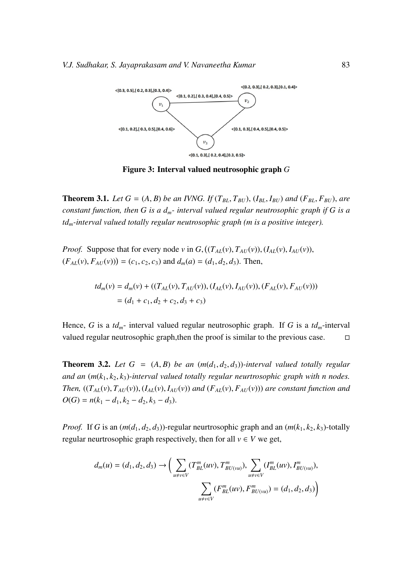

Figure 3: Interval valued neutrosophic graph *G*

**Theorem 3.1.** Let  $G = (A, B)$  be an IVNG. If  $(T_{BL}, T_{BU})$ ,  $(I_{BL}, I_{BU})$  and  $(F_{BL}, F_{BU})$ , are *constant function, then G is a dm- interval valued regular neutrosophic graph if G is a tdm-interval valued totally regular neutrosophic graph (m is a positive integer).*

*Proof.* Suppose that for every node *v* in *G*,  $((T_{AL}(v), T_{AU}(v)), (I_{AL}(v), I_{AU}(v)),$  $(F_{AL}(v), F_{AU}(v)) = (c_1, c_2, c_3)$  and  $d_m(a) = (d_1, d_2, d_3)$ . Then,

$$
td_m(v) = d_m(v) + ((T_{AL}(v), T_{AU}(v)), (I_{AL}(v), I_{AU}(v)), (F_{AL}(v), F_{AU}(v)))
$$
  
=  $(d_1 + c_1, d_2 + c_2, d_3 + c_3)$ 

Hence, *G* is a *tdm*- interval valued regular neutrosophic graph. If *G* is a *tdm*-interval valued regular neutrosophic graph, then the proof is similar to the previous case.  $\Box$ 

**Theorem 3.2.** Let  $G = (A, B)$  be an  $(m(d_1, d_2, d_3))$ -interval valued totally regular *and an*  $(m(k_1, k_2, k_3)$ -interval valued totally regular neurtrosophic graph with n nodes. Then,  $((T_{AL}(v), T_{AU}(v)), (I_{AL}(v), I_{AU}(v))$  and  $(F_{AL}(v), F_{AU}(v)))$  are constant function and  $O(G) = n(k_1 - d_1, k_2 - d_2, k_3 - d_3).$ 

*Proof.* If *G* is an  $(m(d_1, d_2, d_3))$ -regular neurtrosophic graph and an  $(m(k_1, k_2, k_3))$ -totally regular neurtrosophic graph respectively, then for all  $v \in V$  we get,

$$
d_m(u) = (d_1, d_2, d_3) \rightarrow \Big( \sum_{u \neq v \in V} (T_{BL}^m(uv), T_{BL(vu)}^m), \sum_{u \neq v \in V} (I_{BL}^m(uv), I_{BL(vu)}^m), \sum_{u \neq v \in V} (F_{BL}^m(uv), F_{BL(vu)}^m) = (d_1, d_2, d_3) \Big)
$$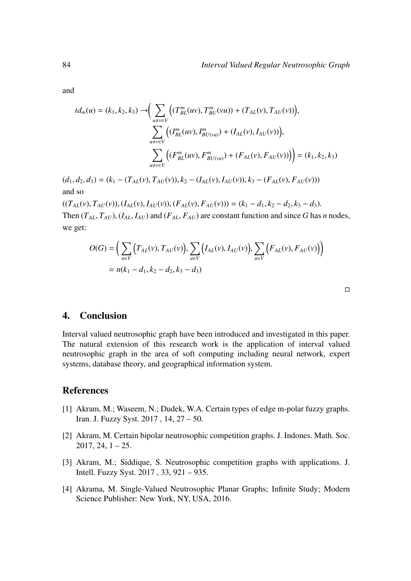and

we get:

$$
td_m(u) = (k_1, k_2, k_3) \rightarrow \left(\sum_{u \neq v \in V} \left( (T_{BL}^m(uv), T_{BL}^m(vu)) + (T_{AL}(v), T_{AU}(v)) \right), \sum_{u \neq v \in V} \left( (T_{BL}^m(uv), T_{BL(vu)}^m) + (I_{AL}(v), I_{AU}(v)) \right), \sum_{u \neq v \in V} \left( (F_{BL}^m(uv), F_{BL(vu)}^m) + (F_{AL}(v), F_{AU}(v)) \right) \right) = (k_1, k_2, k_3)
$$

 $(d_1, d_2, d_3) = (k_1 - (T_{AL}(v), T_{AU}(v)), k_2 - (I_{AL}(v), I_{AU}(v)), k_3 - (F_{AL}(v), F_{AU}(v)))$ and so

 $((T_{AL}(v), T_{AU}(v)), (I_{AL}(v), I_{AU}(v)), (F_{AL}(v), F_{AU}(v))) = (k_1 - d_1, k_2 - d_2, k_3 - d_3).$ Then  $(T_{AL}, T_{AU})$ ,  $(I_{AL}, I_{AU})$  and  $(F_{AL}, F_{AU})$  are constant function and since *G* has *n* nodes,

$$
O(G) = \left(\sum_{u \in V} \left(T_{AL}(v), T_{AU}(v)\right), \sum_{u \in V} \left(I_{AL}(v), I_{AU}(v)\right), \sum_{u \in V} \left(F_{AL}(v), F_{AU}(v)\right)\right) = n(k_1 - d_1, k_2 - d_2, k_3 - d_3)
$$

 $\mathcal{L}$ 

### 4. Conclusion

Interval valued neutrosophic graph have been introduced and investigated in this paper. The natural extension of this research work is the application of interval valued neutrosophic graph in the area of soft computing including neural network, expert systems, database theory, and geographical information system.

#### References

- [1] Akram, M.; Waseem, N.; Dudek, W.A. Certain types of edge m-polar fuzzy graphs. Iran. J. Fuzzy Syst. 2017 , 14, 27 – 50.
- [2] Akram, M. Certain bipolar neutrosophic competition graphs. J. Indones. Math. Soc.  $2017, 24, 1 - 25.$
- [3] Akram, M.; Siddique, S. Neutrosophic competition graphs with applications. J. Intell. Fuzzy Syst. 2017 , 33, 921 – 935.
- [4] Akrama, M. Single-Valued Neutrosophic Planar Graphs; Infinite Study; Modern Science Publisher: New York, NY, USA, 2016.